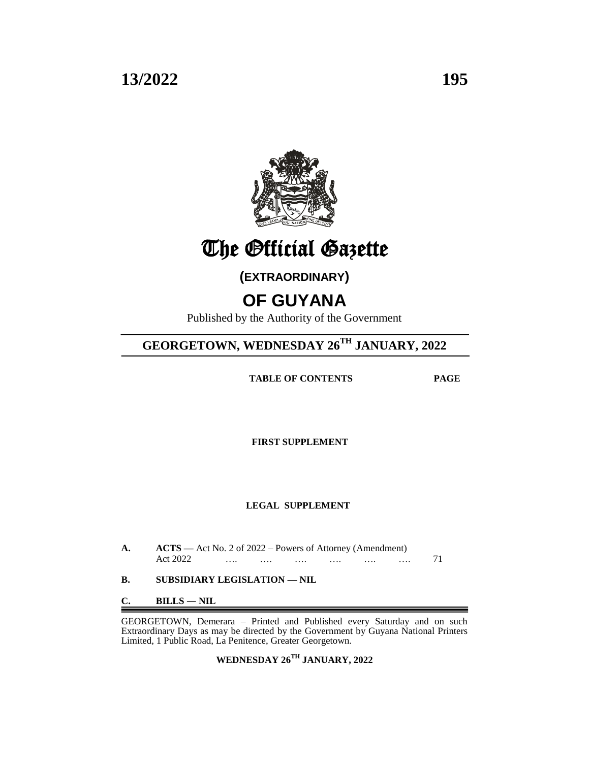

The Official Gazette

**(EXTRAORDINARY)**

## **OF GUYANA**

Published by the Authority of the Government

### **GEORGETOWN, WEDNESDAY 26TH JANUARY, 2022**

 **TABLE OF CONTENTS PAGE**

**FIRST SUPPLEMENT**

#### **LEGAL SUPPLEMENT**

| A. | $\angle$ <b>ACTS</b> — Act No. 2 of 2022 – Powers of Attorney (Amendment)<br>Act 2022<br>71<br>$\cdots$                                                        |  |  |  |  |  |  |
|----|----------------------------------------------------------------------------------------------------------------------------------------------------------------|--|--|--|--|--|--|
| В. | SUBSIDIARY LEGISLATION — NIL                                                                                                                                   |  |  |  |  |  |  |
| C. | $BILLS - NIL$                                                                                                                                                  |  |  |  |  |  |  |
|    | GEORGETOWN, Demerara – Printed and Published every Saturday and on such<br>Extraordinary Days as may be directed by the Government by Guyana National Printers |  |  |  |  |  |  |

Extraordinary Days as may be directed by the Government by Guyana National Printers Limited, 1 Public Road, La Penitence, Greater Georgetown.

**WEDNESDAY 26TH JANUARY, 2022**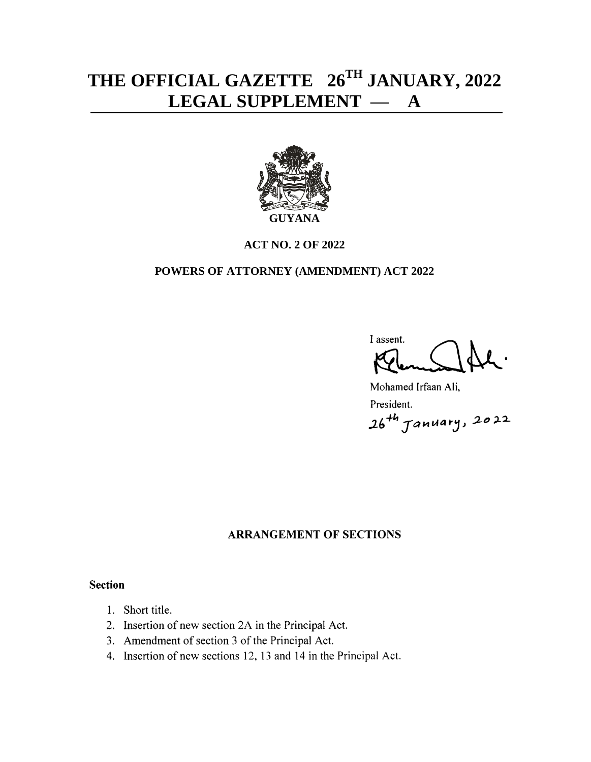# **THE OFFICIAL GAZETTE 26 TH JANUARY, 2022 LEGAL SUPPLEMENT — A**



#### **ACT NO. 2 OF 2022**

#### **POWERS OF ATTORNEY (AMENDMENT) ACT 2022**

I assent.

Mohamed Irfaan Ali, President. 26<sup>+h</sup> January, 2022

### **ARRANGEMENT OF SECTIONS**

#### **Section**

- 1. Short title.
- 2. Insertion of new section 2A in the Principal Act.
- 3. Amendment of section 3 of the Principal Act.
- 4. Insertion of new sections 12, 13 and 14 in the Principal Act.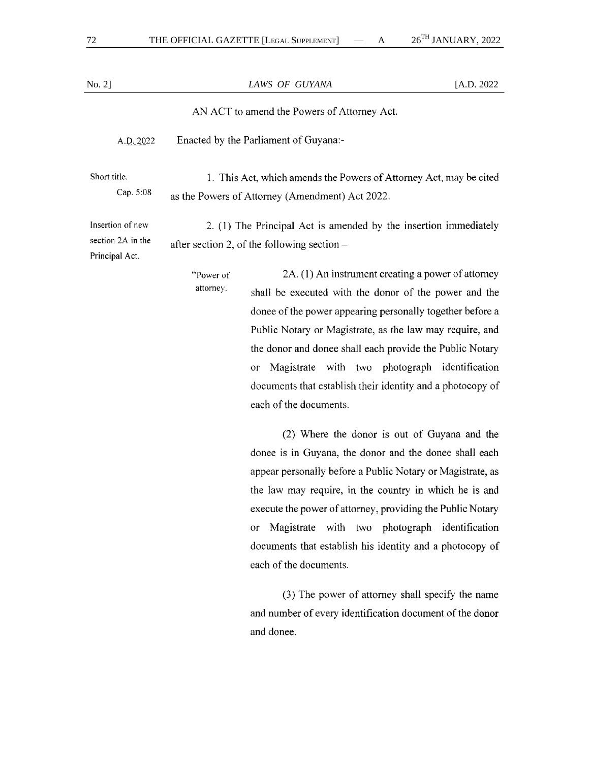| $No. 2$ ]                                               |                                                                                                                       | LAWS OF GUYANA                                                                                                                                                                                                                                                                                                                                                                                                        |  |  |  |  |
|---------------------------------------------------------|-----------------------------------------------------------------------------------------------------------------------|-----------------------------------------------------------------------------------------------------------------------------------------------------------------------------------------------------------------------------------------------------------------------------------------------------------------------------------------------------------------------------------------------------------------------|--|--|--|--|
|                                                         | AN ACT to amend the Powers of Attorney Act.                                                                           |                                                                                                                                                                                                                                                                                                                                                                                                                       |  |  |  |  |
| A.D. 2022                                               |                                                                                                                       | Enacted by the Parliament of Guyana:-                                                                                                                                                                                                                                                                                                                                                                                 |  |  |  |  |
| Short title.<br>Cap. 5:08                               | 1. This Act, which amends the Powers of Attorney Act, may be cited<br>as the Powers of Attorney (Amendment) Act 2022. |                                                                                                                                                                                                                                                                                                                                                                                                                       |  |  |  |  |
| Insertion of new<br>section 2A in the<br>Principal Act. | 2. (1) The Principal Act is amended by the insertion immediately                                                      |                                                                                                                                                                                                                                                                                                                                                                                                                       |  |  |  |  |
|                                                         | "Power of<br>attorney.                                                                                                | 2A. (1) An instrument creating a power of attorney<br>shall be executed with the donor of the power and the<br>donee of the power appearing personally together before a<br>Public Notary or Magistrate, as the law may require, and<br>the donor and donee shall each provide the Public Notary<br>Magistrate with two photograph identification<br>or<br>documents that establish their identity and a photocopy of |  |  |  |  |

each of the documents.

(2) Where the donor is out of Guyana and the donee is in Guyana, the donor and the donee shall each appear personally before a Public Notary or Magistrate, as the law may require, in the country in which he is and execute the power of attorney, providing the Public Notary or Magistrate with two photograph identification documents that establish his identity and a photocopy of each of the documents.

(3) The power of attorney shall specify the name and number of every identification document of the donor and donee.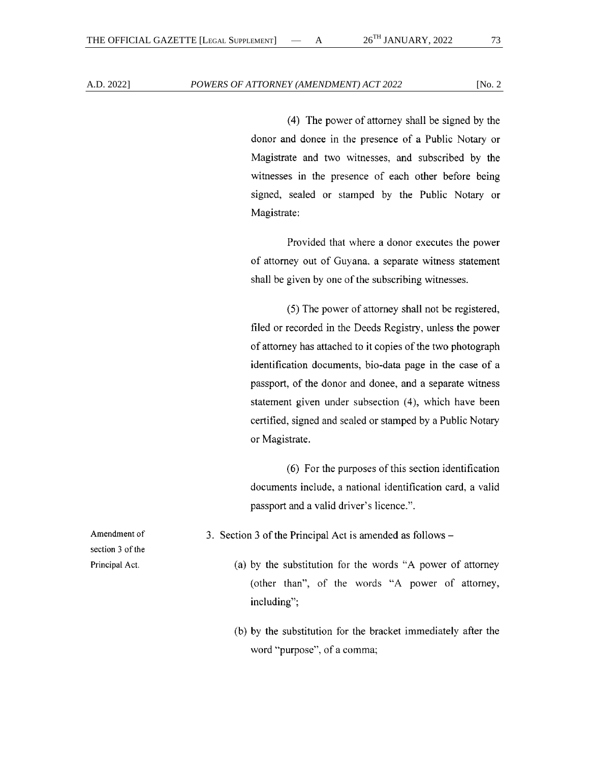(4) The power of attorney shall be signed by the donor and donee in the presence of a Public Notary or Magistrate and two witnesses, and subscribed by the witnesses in the presence of each other before being signed, sealed or stamped by the Public Notary or Magistrate:

Provided that where a donor executes the power of attorney out of Guyana, a separate witness statement shall be given by one of the subscribing witnesses.

(5) The power of attorney shall not be registered, filed or recorded in the Deeds Registry, unless the power of attorney has attached to it copies of the two photograph identification documents, bio-data page in the case of a passport, of the donor and donee, and a separate witness statement given under subsection (4), which have been certified, signed and sealed or stamped by a Public Notary or Magistrate.

(6) For the purposes of this section identification documents include, a national identification card, a valid passport and a valid driver's licence.".

3. Section 3 of the Principal Act is amended as follows –

- (a) by the substitution for the words "A power of attorney (other than", of the words "A power of attorney, including";
- (b) by the substitution for the bracket immediately after the word "purpose", of a comma;

Amendment of section 3 of the Principal Act.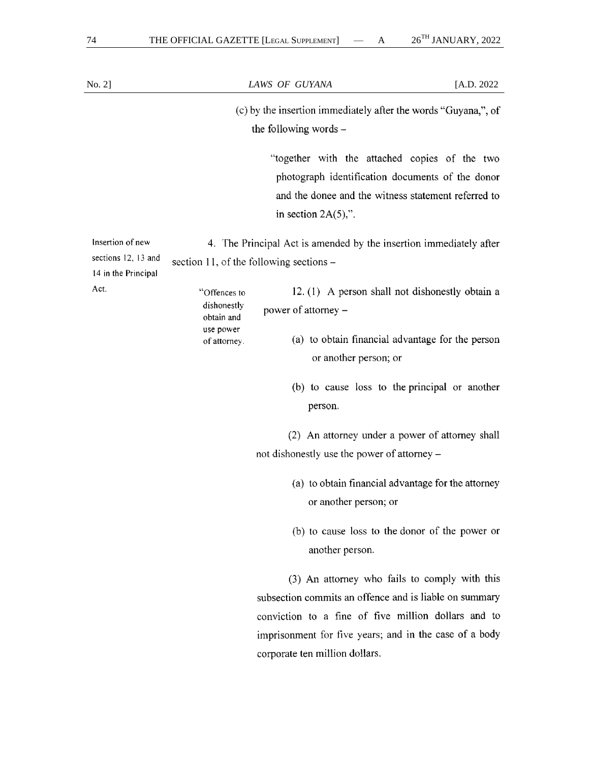| $No. 2$ ]                                                      |                                           | LAWS OF GUYANA                                                                                                                                                                                                                                             | [A.D. 2022 |
|----------------------------------------------------------------|-------------------------------------------|------------------------------------------------------------------------------------------------------------------------------------------------------------------------------------------------------------------------------------------------------------|------------|
|                                                                |                                           | (c) by the insertion immediately after the words "Guyana,", of<br>the following words -                                                                                                                                                                    |            |
|                                                                |                                           | "together with the attached copies of the two<br>photograph identification documents of the donor<br>and the donee and the witness statement referred to<br>in section $2A(5)$ .                                                                           |            |
| Insertion of new<br>sections 12, 13 and<br>14 in the Principal | section 11, of the following sections –   | 4. The Principal Act is amended by the insertion immediately after                                                                                                                                                                                         |            |
| Act.                                                           | "Offences to<br>dishonestly<br>obtain and | 12. (1) A person shall not dishonestly obtain a<br>power of attorney -                                                                                                                                                                                     |            |
|                                                                | use power<br>of attorney.                 | (a) to obtain financial advantage for the person<br>or another person; or                                                                                                                                                                                  |            |
|                                                                |                                           | (b) to cause loss to the principal or another<br>person.                                                                                                                                                                                                   |            |
|                                                                |                                           | (2) An attorney under a power of attorney shall<br>not dishonestly use the power of attorney -                                                                                                                                                             |            |
|                                                                |                                           | (a) to obtain financial advantage for the attorney<br>or another person; or                                                                                                                                                                                |            |
|                                                                |                                           | (b) to cause loss to the donor of the power or<br>another person.                                                                                                                                                                                          |            |
|                                                                |                                           | (3) An attorney who fails to comply with this<br>subsection commits an offence and is liable on summary<br>conviction to a fine of five million dollars and to<br>imprisonment for five years; and in the case of a body<br>corporate ten million dollars. |            |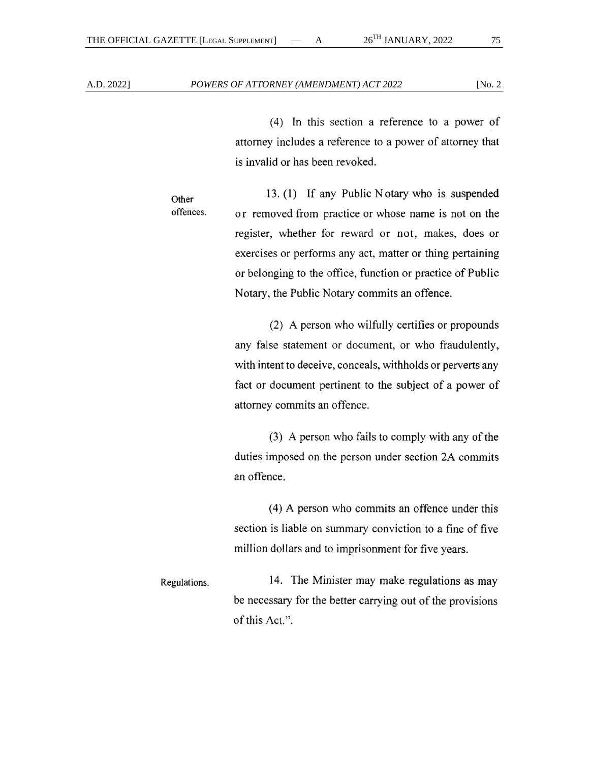$(4)$  In this section a reference to a power of attorney includes a reference to a power of attorney that is invalid or has been revoked.

13. (1) If any Public Notary who is suspended Other offences. or removed from practice or whose name is not on the register, whether for reward or not, makes, does or exercises or performs any act, matter or thing pertaining or belonging to the office, function or practice of Public Notary, the Public Notary commits an offence.

> (2) A person who wilfully certifies or propounds any false statement or document, or who fraudulently, with intent to deceive, conceals, withholds or perverts any fact or document pertinent to the subject of a power of attorney commits an offence.

> (3) A person who fails to comply with any of the duties imposed on the person under section 2A commits an offence.

> (4) A person who commits an offence under this section is liable on summary conviction to a fine of five million dollars and to imprisonment for five years.

14. The Minister may make regulations as may Regulations. be necessary for the better carrying out of the provisions of this Act.".